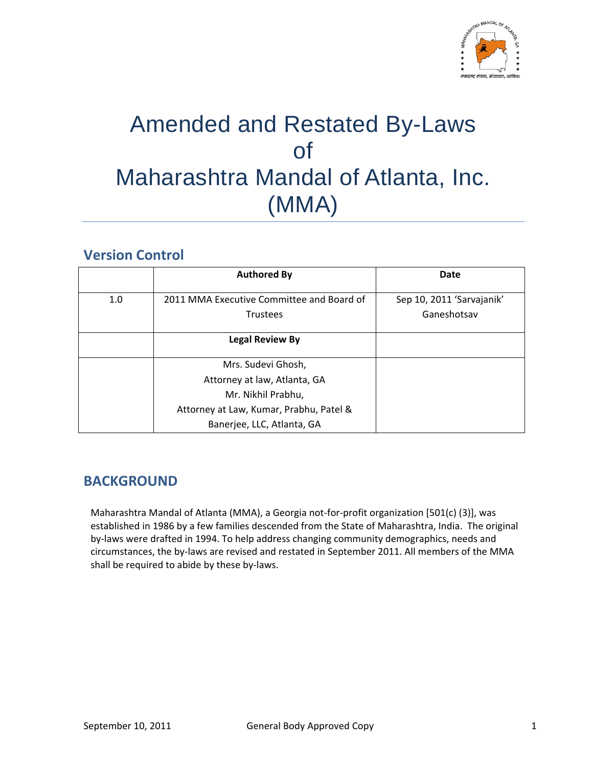

# Amended and Restated By-Laws of Maharashtra Mandal of Atlanta, Inc. (MMA)

# **Version Control**

|     | <b>Authored By</b>                                           | Date                                     |
|-----|--------------------------------------------------------------|------------------------------------------|
| 1.0 | 2011 MMA Executive Committee and Board of<br><b>Trustees</b> | Sep 10, 2011 'Sarvajanik'<br>Ganeshotsav |
|     | <b>Legal Review By</b>                                       |                                          |
|     | Mrs. Sudevi Ghosh,                                           |                                          |
|     | Attorney at law, Atlanta, GA                                 |                                          |
|     | Mr. Nikhil Prabhu,                                           |                                          |
|     | Attorney at Law, Kumar, Prabhu, Patel &                      |                                          |
|     | Banerjee, LLC, Atlanta, GA                                   |                                          |

# **BACKGROUND**

Maharashtra Mandal of Atlanta (MMA), a Georgia not‐for‐profit organization [501(c) (3)], was established in 1986 by a few families descended from the State of Maharashtra, India. The original by‐laws were drafted in 1994. To help address changing community demographics, needs and circumstances, the by‐laws are revised and restated in September 2011. All members of the MMA shall be required to abide by these by‐laws.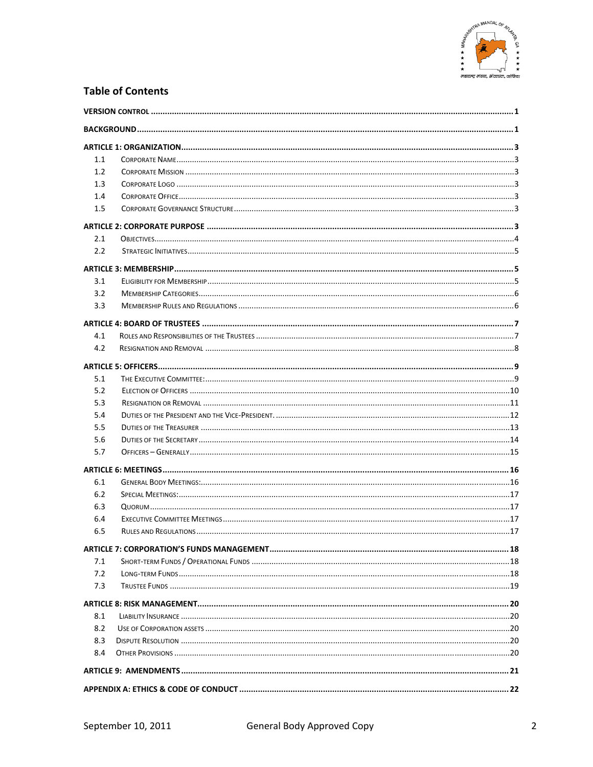

### **Table of Contents**

| 1.1 |  |
|-----|--|
| 1.2 |  |
| 1.3 |  |
| 1.4 |  |
| 1.5 |  |
|     |  |
| 2.1 |  |
| 2.2 |  |
|     |  |
| 3.1 |  |
| 3.2 |  |
| 3.3 |  |
|     |  |
| 4.1 |  |
| 4.2 |  |
|     |  |
| 5.1 |  |
| 5.2 |  |
| 5.3 |  |
| 5.4 |  |
| 5.5 |  |
| 5.6 |  |
| 5.7 |  |
|     |  |
| 6.1 |  |
| 6.2 |  |
| 6.3 |  |
| 6.4 |  |
| 6.5 |  |
|     |  |
| 7.1 |  |
| 7.2 |  |
| 7.3 |  |
|     |  |
| 8.1 |  |
| 8.2 |  |
| 8.3 |  |
| 8.4 |  |
|     |  |
|     |  |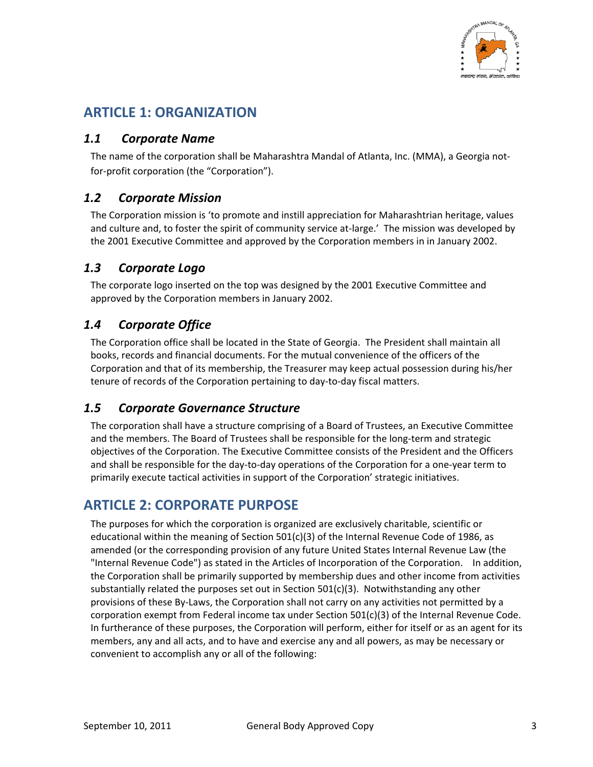

# **ARTICLE 1: ORGANIZATION**

### *1.1 Corporate Name*

The name of the corporation shall be Maharashtra Mandal of Atlanta, Inc. (MMA), a Georgia not‐ for-profit corporation (the "Corporation").

### *1.2 Corporate Mission*

The Corporation mission is 'to promote and instill appreciation for Maharashtrian heritage, values and culture and, to foster the spirit of community service at-large.' The mission was developed by the 2001 Executive Committee and approved by the Corporation members in in January 2002.

### *1.3 Corporate Logo*

The corporate logo inserted on the top was designed by the 2001 Executive Committee and approved by the Corporation members in January 2002.

### *1.4 Corporate Office*

The Corporation office shall be located in the State of Georgia. The President shall maintain all books, records and financial documents. For the mutual convenience of the officers of the Corporation and that of its membership, the Treasurer may keep actual possession during his/her tenure of records of the Corporation pertaining to day‐to‐day fiscal matters.

### *1.5 Corporate Governance Structure*

The corporation shall have a structure comprising of a Board of Trustees, an Executive Committee and the members. The Board of Trustees shall be responsible for the long-term and strategic objectives of the Corporation. The Executive Committee consists of the President and the Officers and shall be responsible for the day-to-day operations of the Corporation for a one-year term to primarily execute tactical activities in support of the Corporation' strategic initiatives.

# **ARTICLE 2: CORPORATE PURPOSE**

The purposes for which the corporation is organized are exclusively charitable, scientific or educational within the meaning of Section 501(c)(3) of the Internal Revenue Code of 1986, as amended (or the corresponding provision of any future United States Internal Revenue Law (the "Internal Revenue Code") as stated in the Articles of Incorporation of the Corporation. In addition, the Corporation shall be primarily supported by membership dues and other income from activities substantially related the purposes set out in Section  $501(c)(3)$ . Notwithstanding any other provisions of these By‐Laws, the Corporation shall not carry on any activities not permitted by a corporation exempt from Federal income tax under Section 501(c)(3) of the Internal Revenue Code. In furtherance of these purposes, the Corporation will perform, either for itself or as an agent for its members, any and all acts, and to have and exercise any and all powers, as may be necessary or convenient to accomplish any or all of the following: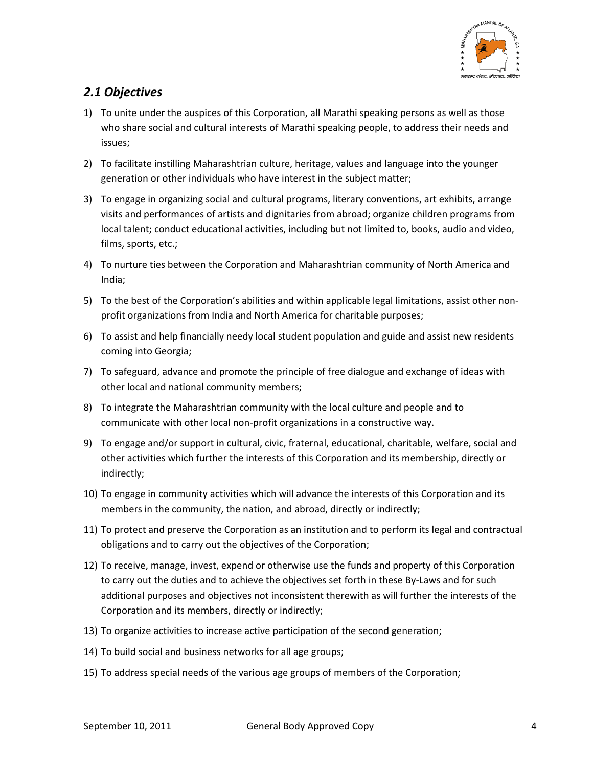

### *2.1 Objectives*

- 1) To unite under the auspices of this Corporation, all Marathi speaking persons as well as those who share social and cultural interests of Marathi speaking people, to address their needs and issues;
- 2) To facilitate instilling Maharashtrian culture, heritage, values and language into the younger generation or other individuals who have interest in the subject matter;
- 3) To engage in organizing social and cultural programs, literary conventions, art exhibits, arrange visits and performances of artists and dignitaries from abroad; organize children programs from local talent; conduct educational activities, including but not limited to, books, audio and video, films, sports, etc.;
- 4) To nurture ties between the Corporation and Maharashtrian community of North America and India;
- 5) To the best of the Corporation's abilities and within applicable legal limitations, assist other nonprofit organizations from India and North America for charitable purposes;
- 6) To assist and help financially needy local student population and guide and assist new residents coming into Georgia;
- 7) To safeguard, advance and promote the principle of free dialogue and exchange of ideas with other local and national community members;
- 8) To integrate the Maharashtrian community with the local culture and people and to communicate with other local non‐profit organizations in a constructive way.
- 9) To engage and/or support in cultural, civic, fraternal, educational, charitable, welfare, social and other activities which further the interests of this Corporation and its membership, directly or indirectly;
- 10) To engage in community activities which will advance the interests of this Corporation and its members in the community, the nation, and abroad, directly or indirectly;
- 11) To protect and preserve the Corporation as an institution and to perform its legal and contractual obligations and to carry out the objectives of the Corporation;
- 12) To receive, manage, invest, expend or otherwise use the funds and property of this Corporation to carry out the duties and to achieve the objectives set forth in these By‐Laws and for such additional purposes and objectives not inconsistent therewith as will further the interests of the Corporation and its members, directly or indirectly;
- 13) To organize activities to increase active participation of the second generation;
- 14) To build social and business networks for all age groups;
- 15) To address special needs of the various age groups of members of the Corporation;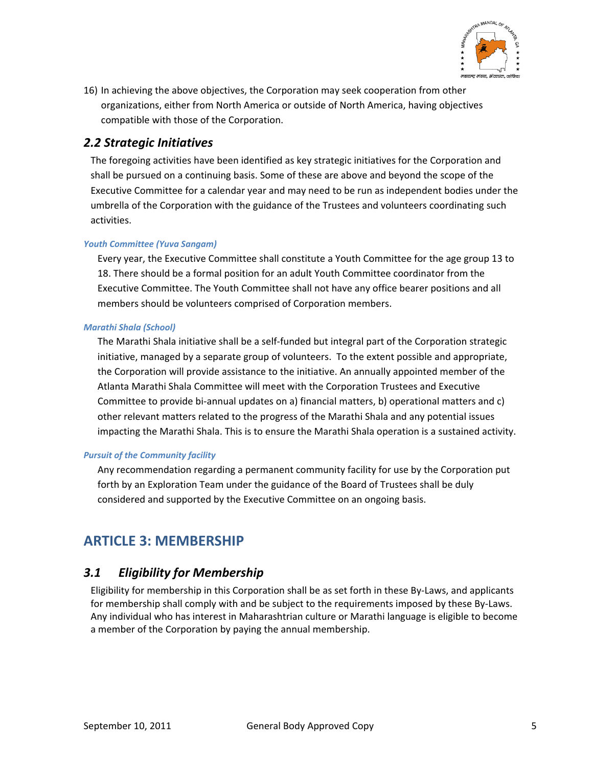

16) In achieving the above objectives, the Corporation may seek cooperation from other organizations, either from North America or outside of North America, having objectives compatible with those of the Corporation.

### *2.2 Strategic Initiatives*

The foregoing activities have been identified as key strategic initiatives for the Corporation and shall be pursued on a continuing basis. Some of these are above and beyond the scope of the Executive Committee for a calendar year and may need to be run as independent bodies under the umbrella of the Corporation with the guidance of the Trustees and volunteers coordinating such activities.

### *Youth Committee (Yuva Sangam)*

Every year, the Executive Committee shall constitute a Youth Committee for the age group 13 to 18. There should be a formal position for an adult Youth Committee coordinator from the Executive Committee. The Youth Committee shall not have any office bearer positions and all members should be volunteers comprised of Corporation members.

#### *Marathi Shala (School)*

The Marathi Shala initiative shall be a self-funded but integral part of the Corporation strategic initiative, managed by a separate group of volunteers. To the extent possible and appropriate, the Corporation will provide assistance to the initiative. An annually appointed member of the Atlanta Marathi Shala Committee will meet with the Corporation Trustees and Executive Committee to provide bi‐annual updates on a) financial matters, b) operational matters and c) other relevant matters related to the progress of the Marathi Shala and any potential issues impacting the Marathi Shala. This is to ensure the Marathi Shala operation is a sustained activity.

### *Pursuit of the Community facility*

Any recommendation regarding a permanent community facility for use by the Corporation put forth by an Exploration Team under the guidance of the Board of Trustees shall be duly considered and supported by the Executive Committee on an ongoing basis.

# **ARTICLE 3: MEMBERSHIP**

### *3.1 Eligibility for Membership*

Eligibility for membership in this Corporation shall be as set forth in these By‐Laws, and applicants for membership shall comply with and be subject to the requirements imposed by these By‐Laws. Any individual who has interest in Maharashtrian culture or Marathi language is eligible to become a member of the Corporation by paying the annual membership.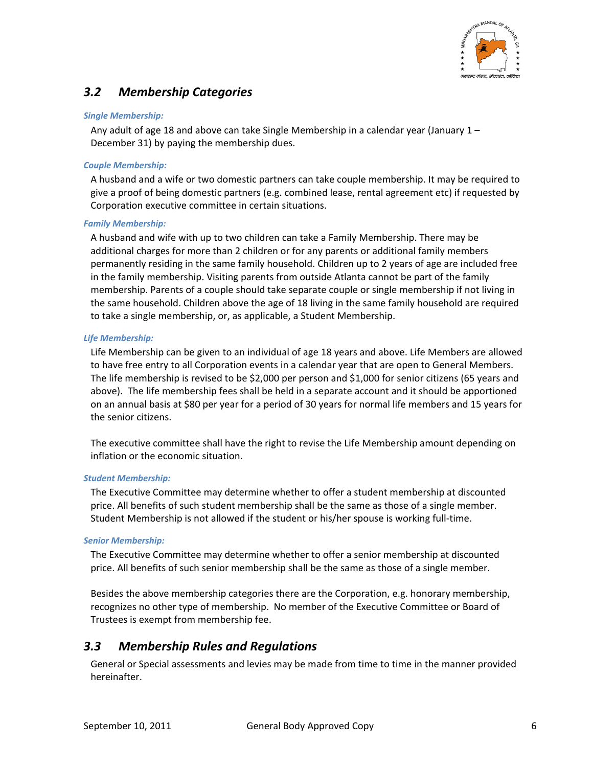

# *3.2 Membership Categories*

#### *Single Membership:*

Any adult of age 18 and above can take Single Membership in a calendar year (January  $1 -$ December 31) by paying the membership dues.

#### *Couple Membership:*

A husband and a wife or two domestic partners can take couple membership. It may be required to give a proof of being domestic partners (e.g. combined lease, rental agreement etc) if requested by Corporation executive committee in certain situations.

#### *Family Membership:*

A husband and wife with up to two children can take a Family Membership. There may be additional charges for more than 2 children or for any parents or additional family members permanently residing in the same family household. Children up to 2 years of age are included free in the family membership. Visiting parents from outside Atlanta cannot be part of the family membership. Parents of a couple should take separate couple or single membership if not living in the same household. Children above the age of 18 living in the same family household are required to take a single membership, or, as applicable, a Student Membership.

#### *Life Membership:*

Life Membership can be given to an individual of age 18 years and above. Life Members are allowed to have free entry to all Corporation events in a calendar year that are open to General Members. The life membership is revised to be \$2,000 per person and \$1,000 for senior citizens (65 years and above). The life membership fees shall be held in a separate account and it should be apportioned on an annual basis at \$80 per year for a period of 30 years for normal life members and 15 years for the senior citizens.

The executive committee shall have the right to revise the Life Membership amount depending on inflation or the economic situation.

#### *Student Membership:*

The Executive Committee may determine whether to offer a student membership at discounted price. All benefits of such student membership shall be the same as those of a single member. Student Membership is not allowed if the student or his/her spouse is working full‐time.

#### *Senior Membership:*

The Executive Committee may determine whether to offer a senior membership at discounted price. All benefits of such senior membership shall be the same as those of a single member.

Besides the above membership categories there are the Corporation, e.g. honorary membership, recognizes no other type of membership. No member of the Executive Committee or Board of Trustees is exempt from membership fee.

### *3.3 Membership Rules and Regulations*

General or Special assessments and levies may be made from time to time in the manner provided hereinafter.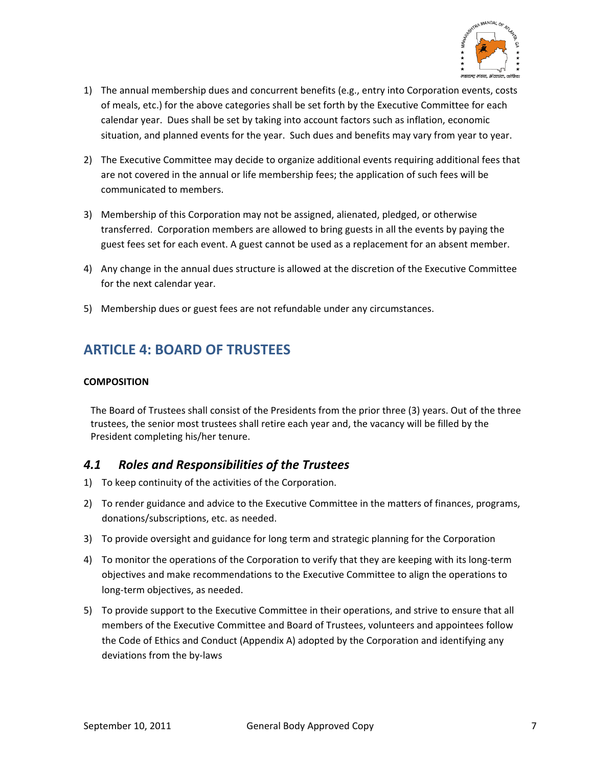

- 1) The annual membership dues and concurrent benefits (e.g., entry into Corporation events, costs of meals, etc.) for the above categories shall be set forth by the Executive Committee for each calendar year. Dues shall be set by taking into account factors such as inflation, economic situation, and planned events for the year. Such dues and benefits may vary from year to year.
- 2) The Executive Committee may decide to organize additional events requiring additional fees that are not covered in the annual or life membership fees; the application of such fees will be communicated to members.
- 3) Membership of this Corporation may not be assigned, alienated, pledged, or otherwise transferred. Corporation members are allowed to bring guests in all the events by paying the guest fees set for each event. A guest cannot be used as a replacement for an absent member.
- 4) Any change in the annual dues structure is allowed at the discretion of the Executive Committee for the next calendar year.
- 5) Membership dues or guest fees are not refundable under any circumstances.

# **ARTICLE 4: BOARD OF TRUSTEES**

### **COMPOSITION**

The Board of Trustees shall consist of the Presidents from the prior three (3) years. Out of the three trustees, the senior most trustees shall retire each year and, the vacancy will be filled by the President completing his/her tenure.

### *4.1 Roles and Responsibilities of the Trustees*

- 1) To keep continuity of the activities of the Corporation.
- 2) To render guidance and advice to the Executive Committee in the matters of finances, programs, donations/subscriptions, etc. as needed.
- 3) To provide oversight and guidance for long term and strategic planning for the Corporation
- 4) To monitor the operations of the Corporation to verify that they are keeping with its long-term objectives and make recommendations to the Executive Committee to align the operations to long‐term objectives, as needed.
- 5) To provide support to the Executive Committee in their operations, and strive to ensure that all members of the Executive Committee and Board of Trustees, volunteers and appointees follow the Code of Ethics and Conduct (Appendix A) adopted by the Corporation and identifying any deviations from the by‐laws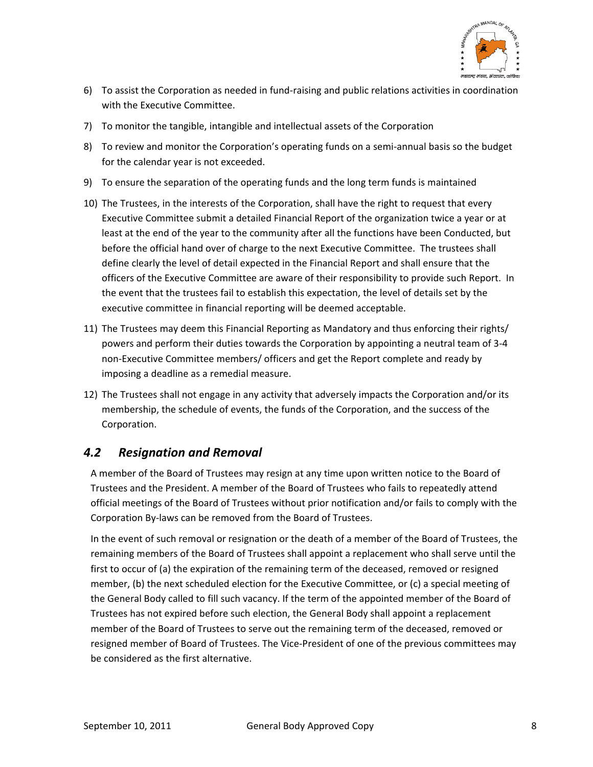

- 6) To assist the Corporation as needed in fund‐raising and public relations activities in coordination with the Executive Committee.
- 7) To monitor the tangible, intangible and intellectual assets of the Corporation
- 8) To review and monitor the Corporation's operating funds on a semi-annual basis so the budget for the calendar year is not exceeded.
- 9) To ensure the separation of the operating funds and the long term funds is maintained
- 10) The Trustees, in the interests of the Corporation, shall have the right to request that every Executive Committee submit a detailed Financial Report of the organization twice a year or at least at the end of the year to the community after all the functions have been Conducted, but before the official hand over of charge to the next Executive Committee. The trustees shall define clearly the level of detail expected in the Financial Report and shall ensure that the officers of the Executive Committee are aware of their responsibility to provide such Report. In the event that the trustees fail to establish this expectation, the level of details set by the executive committee in financial reporting will be deemed acceptable.
- 11) The Trustees may deem this Financial Reporting as Mandatory and thus enforcing their rights/ powers and perform their duties towards the Corporation by appointing a neutral team of 3‐4 non‐Executive Committee members/ officers and get the Report complete and ready by imposing a deadline as a remedial measure.
- 12) The Trustees shall not engage in any activity that adversely impacts the Corporation and/or its membership, the schedule of events, the funds of the Corporation, and the success of the Corporation.

### *4.2 Resignation and Removal*

A member of the Board of Trustees may resign at any time upon written notice to the Board of Trustees and the President. A member of the Board of Trustees who fails to repeatedly attend official meetings of the Board of Trustees without prior notification and/or fails to comply with the Corporation By‐laws can be removed from the Board of Trustees.

In the event of such removal or resignation or the death of a member of the Board of Trustees, the remaining members of the Board of Trustees shall appoint a replacement who shall serve until the first to occur of (a) the expiration of the remaining term of the deceased, removed or resigned member, (b) the next scheduled election for the Executive Committee, or (c) a special meeting of the General Body called to fill such vacancy. If the term of the appointed member of the Board of Trustees has not expired before such election, the General Body shall appoint a replacement member of the Board of Trustees to serve out the remaining term of the deceased, removed or resigned member of Board of Trustees. The Vice-President of one of the previous committees may be considered as the first alternative.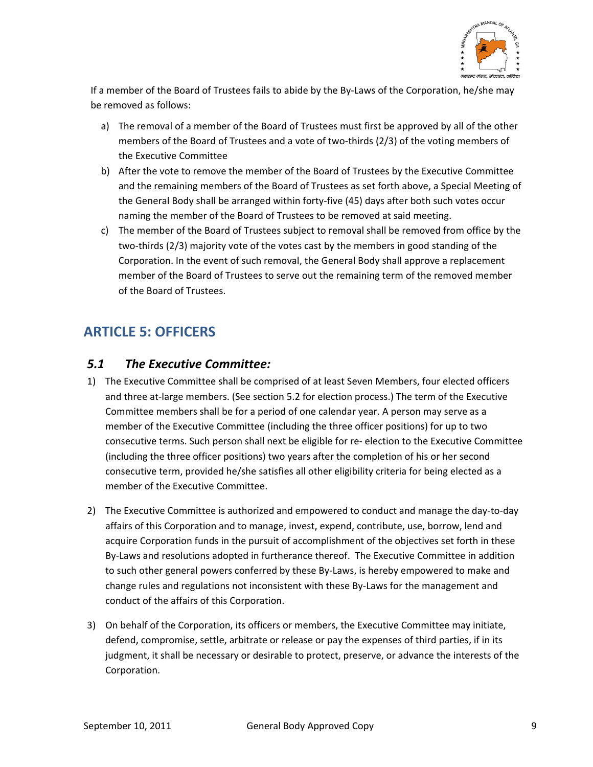

If a member of the Board of Trustees fails to abide by the By‐Laws of the Corporation, he/she may be removed as follows:

- a) The removal of a member of the Board of Trustees must first be approved by all of the other members of the Board of Trustees and a vote of two-thirds (2/3) of the voting members of the Executive Committee
- b) After the vote to remove the member of the Board of Trustees by the Executive Committee and the remaining members of the Board of Trustees as set forth above, a Special Meeting of the General Body shall be arranged within forty‐five (45) days after both such votes occur naming the member of the Board of Trustees to be removed at said meeting.
- c) The member of the Board of Trustees subject to removal shall be removed from office by the two‐thirds (2/3) majority vote of the votes cast by the members in good standing of the Corporation. In the event of such removal, the General Body shall approve a replacement member of the Board of Trustees to serve out the remaining term of the removed member of the Board of Trustees.

# **ARTICLE 5: OFFICERS**

### *5.1 The Executive Committee:*

- 1) The Executive Committee shall be comprised of at least Seven Members, four elected officers and three at-large members. (See section 5.2 for election process.) The term of the Executive Committee members shall be for a period of one calendar year. A person may serve as a member of the Executive Committee (including the three officer positions) for up to two consecutive terms. Such person shall next be eligible for re‐ election to the Executive Committee (including the three officer positions) two years after the completion of his or her second consecutive term, provided he/she satisfies all other eligibility criteria for being elected as a member of the Executive Committee.
- 2) The Executive Committee is authorized and empowered to conduct and manage the day‐to‐day affairs of this Corporation and to manage, invest, expend, contribute, use, borrow, lend and acquire Corporation funds in the pursuit of accomplishment of the objectives set forth in these By-Laws and resolutions adopted in furtherance thereof. The Executive Committee in addition to such other general powers conferred by these By-Laws, is hereby empowered to make and change rules and regulations not inconsistent with these By-Laws for the management and conduct of the affairs of this Corporation.
- 3) On behalf of the Corporation, its officers or members, the Executive Committee may initiate, defend, compromise, settle, arbitrate or release or pay the expenses of third parties, if in its judgment, it shall be necessary or desirable to protect, preserve, or advance the interests of the Corporation.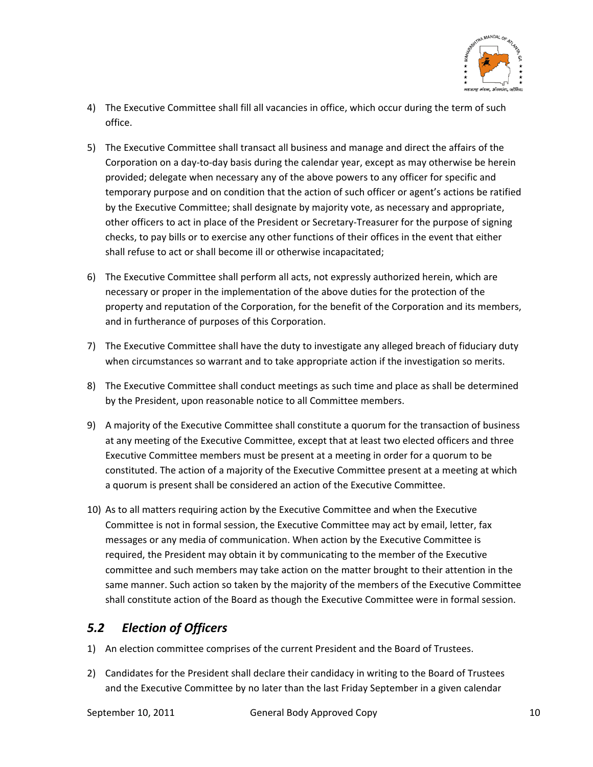

- 4) The Executive Committee shall fill all vacancies in office, which occur during the term of such office.
- 5) The Executive Committee shall transact all business and manage and direct the affairs of the Corporation on a day-to-day basis during the calendar year, except as may otherwise be herein provided; delegate when necessary any of the above powers to any officer for specific and temporary purpose and on condition that the action of such officer or agent's actions be ratified by the Executive Committee; shall designate by majority vote, as necessary and appropriate, other officers to act in place of the President or Secretary‐Treasurer for the purpose of signing checks, to pay bills or to exercise any other functions of their offices in the event that either shall refuse to act or shall become ill or otherwise incapacitated;
- 6) The Executive Committee shall perform all acts, not expressly authorized herein, which are necessary or proper in the implementation of the above duties for the protection of the property and reputation of the Corporation, for the benefit of the Corporation and its members, and in furtherance of purposes of this Corporation.
- 7) The Executive Committee shall have the duty to investigate any alleged breach of fiduciary duty when circumstances so warrant and to take appropriate action if the investigation so merits.
- 8) The Executive Committee shall conduct meetings as such time and place as shall be determined by the President, upon reasonable notice to all Committee members.
- 9) A majority of the Executive Committee shall constitute a quorum for the transaction of business at any meeting of the Executive Committee, except that at least two elected officers and three Executive Committee members must be present at a meeting in order for a quorum to be constituted. The action of a majority of the Executive Committee present at a meeting at which a quorum is present shall be considered an action of the Executive Committee.
- 10) As to all matters requiring action by the Executive Committee and when the Executive Committee is not in formal session, the Executive Committee may act by email, letter, fax messages or any media of communication. When action by the Executive Committee is required, the President may obtain it by communicating to the member of the Executive committee and such members may take action on the matter brought to their attention in the same manner. Such action so taken by the majority of the members of the Executive Committee shall constitute action of the Board as though the Executive Committee were in formal session.

### *5.2 Election of Officers*

- 1) An election committee comprises of the current President and the Board of Trustees.
- 2) Candidates for the President shall declare their candidacy in writing to the Board of Trustees and the Executive Committee by no later than the last Friday September in a given calendar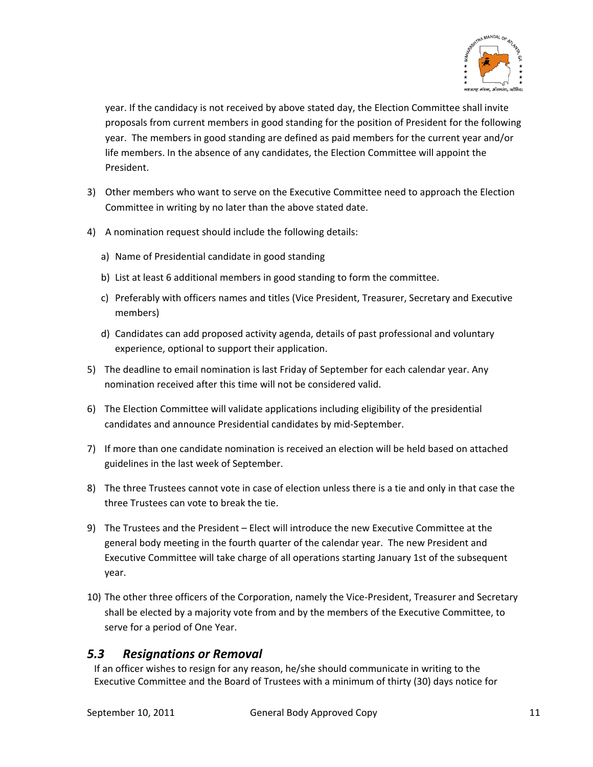

year. If the candidacy is not received by above stated day, the Election Committee shall invite proposals from current members in good standing for the position of President for the following year. The members in good standing are defined as paid members for the current year and/or life members. In the absence of any candidates, the Election Committee will appoint the President.

- 3) Other members who want to serve on the Executive Committee need to approach the Election Committee in writing by no later than the above stated date.
- 4) A nomination request should include the following details:
	- a) Name of Presidential candidate in good standing
	- b) List at least 6 additional members in good standing to form the committee.
	- c) Preferably with officers names and titles (Vice President, Treasurer, Secretary and Executive members)
	- d) Candidates can add proposed activity agenda, details of past professional and voluntary experience, optional to support their application.
- 5) The deadline to email nomination is last Friday of September for each calendar year. Any nomination received after this time will not be considered valid.
- 6) The Election Committee will validate applications including eligibility of the presidential candidates and announce Presidential candidates by mid‐September.
- 7) If more than one candidate nomination is received an election will be held based on attached guidelines in the last week of September.
- 8) The three Trustees cannot vote in case of election unless there is a tie and only in that case the three Trustees can vote to break the tie.
- 9) The Trustees and the President Elect will introduce the new Executive Committee at the general body meeting in the fourth quarter of the calendar year. The new President and Executive Committee will take charge of all operations starting January 1st of the subsequent year.
- 10) The other three officers of the Corporation, namely the Vice‐President, Treasurer and Secretary shall be elected by a majority vote from and by the members of the Executive Committee, to serve for a period of One Year.

### *5.3 Resignations or Removal*

If an officer wishes to resign for any reason, he/she should communicate in writing to the Executive Committee and the Board of Trustees with a minimum of thirty (30) days notice for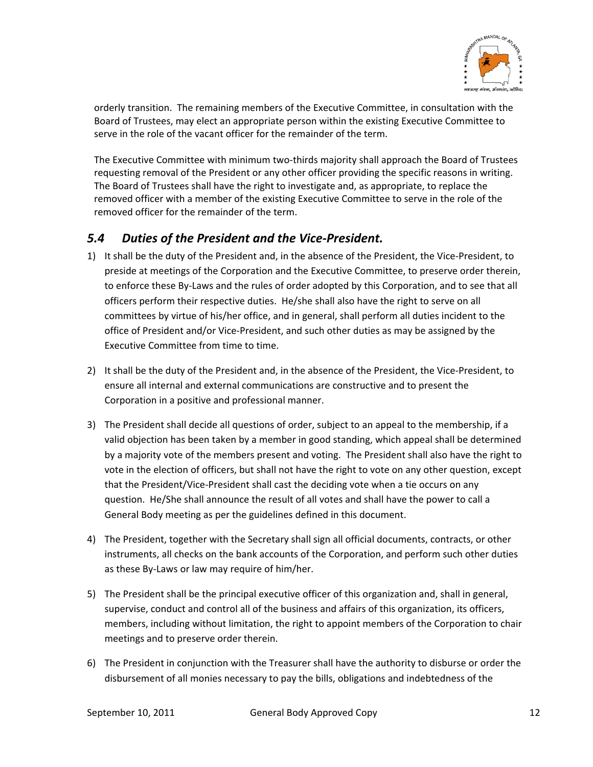

orderly transition. The remaining members of the Executive Committee, in consultation with the Board of Trustees, may elect an appropriate person within the existing Executive Committee to serve in the role of the vacant officer for the remainder of the term.

The Executive Committee with minimum two-thirds majority shall approach the Board of Trustees requesting removal of the President or any other officer providing the specific reasons in writing. The Board of Trustees shall have the right to investigate and, as appropriate, to replace the removed officer with a member of the existing Executive Committee to serve in the role of the removed officer for the remainder of the term.

### *5.4 Duties of the President and the Vice‐President.*

- 1) It shall be the duty of the President and, in the absence of the President, the Vice-President, to preside at meetings of the Corporation and the Executive Committee, to preserve order therein, to enforce these By‐Laws and the rules of order adopted by this Corporation, and to see that all officers perform their respective duties. He/she shall also have the right to serve on all committees by virtue of his/her office, and in general, shall perform all duties incident to the office of President and/or Vice‐President, and such other duties as may be assigned by the Executive Committee from time to time.
- 2) It shall be the duty of the President and, in the absence of the President, the Vice‐President, to ensure all internal and external communications are constructive and to present the Corporation in a positive and professional manner.
- 3) The President shall decide all questions of order, subject to an appeal to the membership, if a valid objection has been taken by a member in good standing, which appeal shall be determined by a majority vote of the members present and voting. The President shall also have the right to vote in the election of officers, but shall not have the right to vote on any other question, except that the President/Vice‐President shall cast the deciding vote when a tie occurs on any question. He/She shall announce the result of all votes and shall have the power to call a General Body meeting as per the guidelines defined in this document.
- 4) The President, together with the Secretary shall sign all official documents, contracts, or other instruments, all checks on the bank accounts of the Corporation, and perform such other duties as these By‐Laws or law may require of him/her.
- 5) The President shall be the principal executive officer of this organization and, shall in general, supervise, conduct and control all of the business and affairs of this organization, its officers, members, including without limitation, the right to appoint members of the Corporation to chair meetings and to preserve order therein.
- 6) The President in conjunction with the Treasurer shall have the authority to disburse or order the disbursement of all monies necessary to pay the bills, obligations and indebtedness of the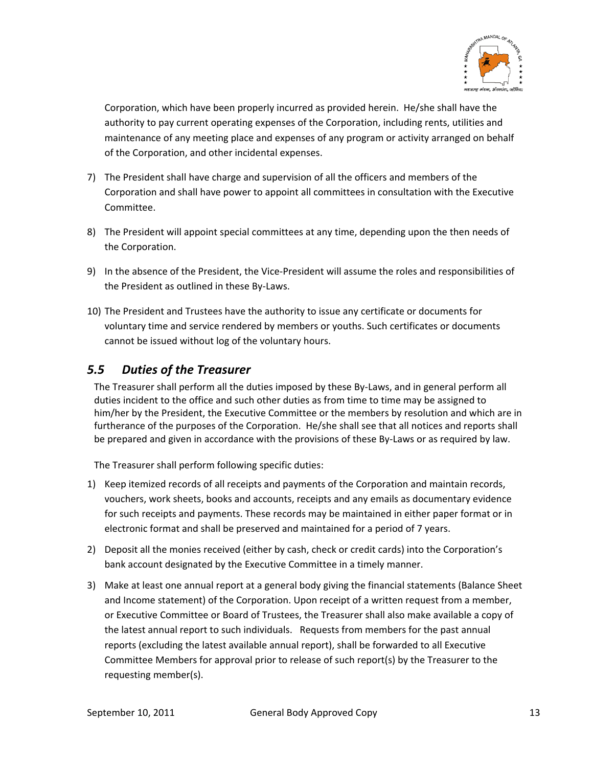

Corporation, which have been properly incurred as provided herein. He/she shall have the authority to pay current operating expenses of the Corporation, including rents, utilities and maintenance of any meeting place and expenses of any program or activity arranged on behalf of the Corporation, and other incidental expenses.

- 7) The President shall have charge and supervision of all the officers and members of the Corporation and shall have power to appoint all committees in consultation with the Executive Committee.
- 8) The President will appoint special committees at any time, depending upon the then needs of the Corporation.
- 9) In the absence of the President, the Vice-President will assume the roles and responsibilities of the President as outlined in these By‐Laws.
- 10) The President and Trustees have the authority to issue any certificate or documents for voluntary time and service rendered by members or youths. Such certificates or documents cannot be issued without log of the voluntary hours.

# *5.5 Duties of the Treasurer*

The Treasurer shall perform all the duties imposed by these By‐Laws, and in general perform all duties incident to the office and such other duties as from time to time may be assigned to him/her by the President, the Executive Committee or the members by resolution and which are in furtherance of the purposes of the Corporation. He/she shall see that all notices and reports shall be prepared and given in accordance with the provisions of these By-Laws or as required by law.

The Treasurer shall perform following specific duties:

- 1) Keep itemized records of all receipts and payments of the Corporation and maintain records, vouchers, work sheets, books and accounts, receipts and any emails as documentary evidence for such receipts and payments. These records may be maintained in either paper format or in electronic format and shall be preserved and maintained for a period of 7 years.
- 2) Deposit all the monies received (either by cash, check or credit cards) into the Corporation's bank account designated by the Executive Committee in a timely manner.
- 3) Make at least one annual report at a general body giving the financial statements (Balance Sheet and Income statement) of the Corporation. Upon receipt of a written request from a member, or Executive Committee or Board of Trustees, the Treasurer shall also make available a copy of the latest annual report to such individuals. Requests from members for the past annual reports (excluding the latest available annual report), shall be forwarded to all Executive Committee Members for approval prior to release of such report(s) by the Treasurer to the requesting member(s).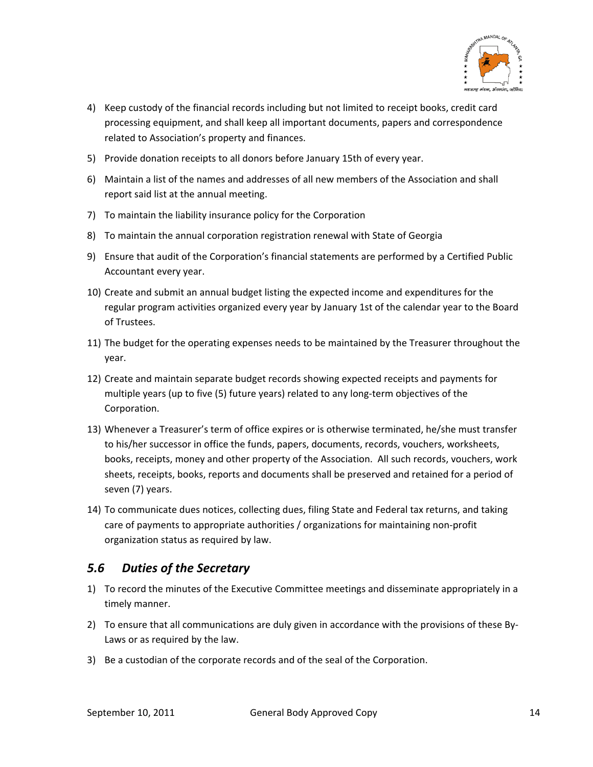

- 4) Keep custody of the financial records including but not limited to receipt books, credit card processing equipment, and shall keep all important documents, papers and correspondence related to Association's property and finances.
- 5) Provide donation receipts to all donors before January 15th of every year.
- 6) Maintain a list of the names and addresses of all new members of the Association and shall report said list at the annual meeting.
- 7) To maintain the liability insurance policy for the Corporation
- 8) To maintain the annual corporation registration renewal with State of Georgia
- 9) Ensure that audit of the Corporation's financial statements are performed by a Certified Public Accountant every year.
- 10) Create and submit an annual budget listing the expected income and expenditures for the regular program activities organized every year by January 1st of the calendar year to the Board of Trustees.
- 11) The budget for the operating expenses needs to be maintained by the Treasurer throughout the year.
- 12) Create and maintain separate budget records showing expected receipts and payments for multiple years (up to five (5) future years) related to any long‐term objectives of the Corporation.
- 13) Whenever a Treasurer's term of office expires or is otherwise terminated, he/she must transfer to his/her successor in office the funds, papers, documents, records, vouchers, worksheets, books, receipts, money and other property of the Association. All such records, vouchers, work sheets, receipts, books, reports and documents shall be preserved and retained for a period of seven (7) years.
- 14) To communicate dues notices, collecting dues, filing State and Federal tax returns, and taking care of payments to appropriate authorities / organizations for maintaining non‐profit organization status as required by law.

### *5.6 Duties of the Secretary*

- 1) To record the minutes of the Executive Committee meetings and disseminate appropriately in a timely manner.
- 2) To ensure that all communications are duly given in accordance with the provisions of these By‐ Laws or as required by the law.
- 3) Be a custodian of the corporate records and of the seal of the Corporation.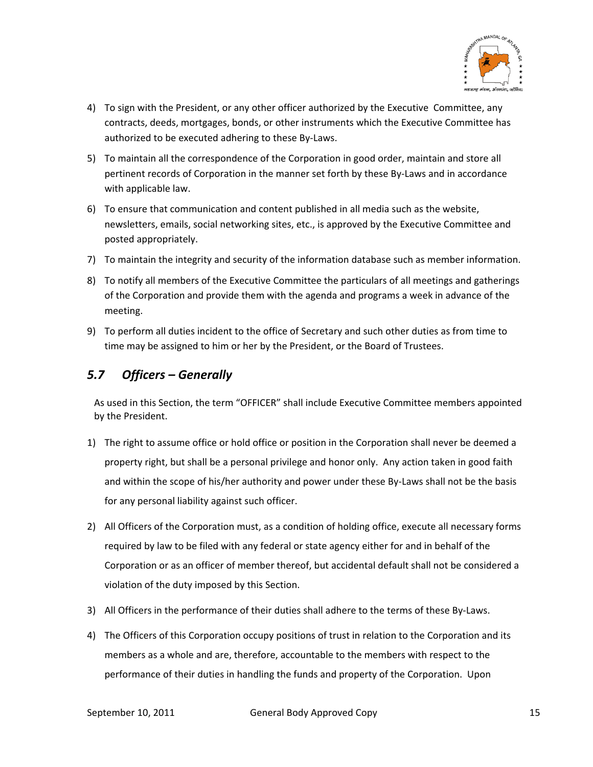

- 4) To sign with the President, or any other officer authorized by the Executive Committee, any contracts, deeds, mortgages, bonds, or other instruments which the Executive Committee has authorized to be executed adhering to these By‐Laws.
- 5) To maintain all the correspondence of the Corporation in good order, maintain and store all pertinent records of Corporation in the manner set forth by these By‐Laws and in accordance with applicable law.
- 6) To ensure that communication and content published in all media such as the website, newsletters, emails, social networking sites, etc., is approved by the Executive Committee and posted appropriately.
- 7) To maintain the integrity and security of the information database such as member information.
- 8) To notify all members of the Executive Committee the particulars of all meetings and gatherings of the Corporation and provide them with the agenda and programs a week in advance of the meeting.
- 9) To perform all duties incident to the office of Secretary and such other duties as from time to time may be assigned to him or her by the President, or the Board of Trustees.

# *5.7 Officers – Generally*

As used in this Section, the term "OFFICER" shall include Executive Committee members appointed by the President.

- 1) The right to assume office or hold office or position in the Corporation shall never be deemed a property right, but shall be a personal privilege and honor only. Any action taken in good faith and within the scope of his/her authority and power under these By-Laws shall not be the basis for any personal liability against such officer.
- 2) All Officers of the Corporation must, as a condition of holding office, execute all necessary forms required by law to be filed with any federal or state agency either for and in behalf of the Corporation or as an officer of member thereof, but accidental default shall not be considered a violation of the duty imposed by this Section.
- 3) All Officers in the performance of their duties shall adhere to the terms of these By‐Laws.
- 4) The Officers of this Corporation occupy positions of trust in relation to the Corporation and its members as a whole and are, therefore, accountable to the members with respect to the performance of their duties in handling the funds and property of the Corporation. Upon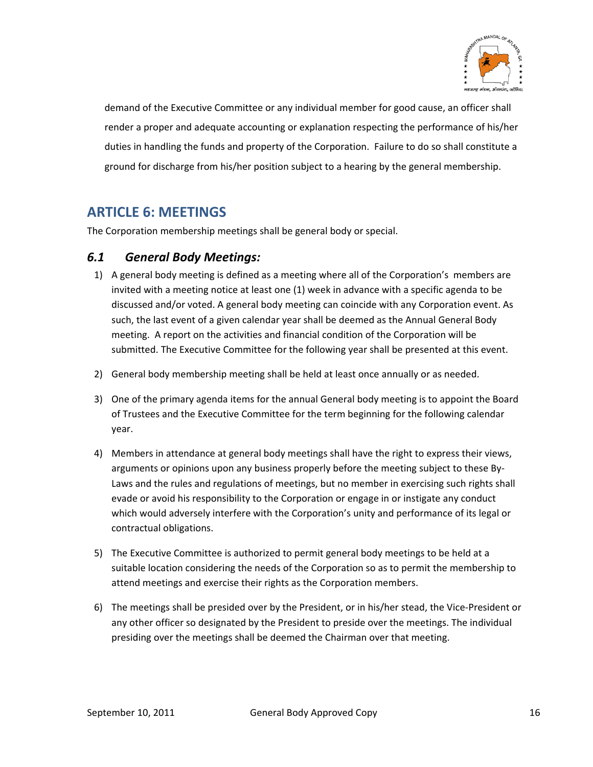

demand of the Executive Committee or any individual member for good cause, an officer shall render a proper and adequate accounting or explanation respecting the performance of his/her duties in handling the funds and property of the Corporation. Failure to do so shall constitute a ground for discharge from his/her position subject to a hearing by the general membership.

# **ARTICLE 6: MEETINGS**

The Corporation membership meetings shall be general body or special.

### *6.1 General Body Meetings:*

- 1) A general body meeting is defined as a meeting where all of the Corporation's members are invited with a meeting notice at least one (1) week in advance with a specific agenda to be discussed and/or voted. A general body meeting can coincide with any Corporation event. As such, the last event of a given calendar year shall be deemed as the Annual General Body meeting. A report on the activities and financial condition of the Corporation will be submitted. The Executive Committee for the following year shall be presented at this event.
- 2) General body membership meeting shall be held at least once annually or as needed.
- 3) One of the primary agenda items for the annual General body meeting is to appoint the Board of Trustees and the Executive Committee for the term beginning for the following calendar year.
- 4) Members in attendance at general body meetings shall have the right to express their views, arguments or opinions upon any business properly before the meeting subject to these By‐ Laws and the rules and regulations of meetings, but no member in exercising such rights shall evade or avoid his responsibility to the Corporation or engage in or instigate any conduct which would adversely interfere with the Corporation's unity and performance of its legal or contractual obligations.
- 5) The Executive Committee is authorized to permit general body meetings to be held at a suitable location considering the needs of the Corporation so as to permit the membership to attend meetings and exercise their rights as the Corporation members.
- 6) The meetings shall be presided over by the President, or in his/her stead, the Vice‐President or any other officer so designated by the President to preside over the meetings. The individual presiding over the meetings shall be deemed the Chairman over that meeting.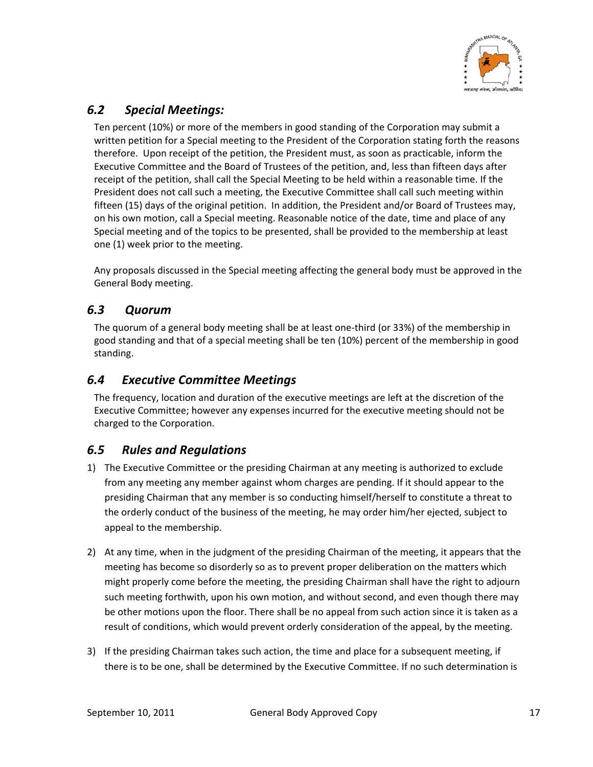

# *6.2 Special Meetings:*

Ten percent (10%) or more of the members in good standing of the Corporation may submit a written petition for a Special meeting to the President of the Corporation stating forth the reasons therefore. Upon receipt of the petition, the President must, as soon as practicable, inform the Executive Committee and the Board of Trustees of the petition, and, less than fifteen days after receipt of the petition, shall call the Special Meeting to be held within a reasonable time. If the President does not call such a meeting, the Executive Committee shall call such meeting within fifteen (15) days of the original petition. In addition, the President and/or Board of Trustees may, on his own motion, call a Special meeting. Reasonable notice of the date, time and place of any Special meeting and of the topics to be presented, shall be provided to the membership at least one (1) week prior to the meeting.

Any proposals discussed in the Special meeting affecting the general body must be approved in the General Body meeting.

### *6.3 Quorum*

The quorum of a general body meeting shall be at least one‐third (or 33%) of the membership in good standing and that of a special meeting shall be ten (10%) percent of the membership in good standing.

### *6.4 Executive Committee Meetings*

The frequency, location and duration of the executive meetings are left at the discretion of the Executive Committee; however any expenses incurred for the executive meeting should not be charged to the Corporation.

### *6.5 Rules and Regulations*

- 1) The Executive Committee or the presiding Chairman at any meeting is authorized to exclude from any meeting any member against whom charges are pending. If it should appear to the presiding Chairman that any member is so conducting himself/herself to constitute a threat to the orderly conduct of the business of the meeting, he may order him/her ejected, subject to appeal to the membership.
- 2) At any time, when in the judgment of the presiding Chairman of the meeting, it appears that the meeting has become so disorderly so as to prevent proper deliberation on the matters which might properly come before the meeting, the presiding Chairman shall have the right to adjourn such meeting forthwith, upon his own motion, and without second, and even though there may be other motions upon the floor. There shall be no appeal from such action since it is taken as a result of conditions, which would prevent orderly consideration of the appeal, by the meeting.
- 3) If the presiding Chairman takes such action, the time and place for a subsequent meeting, if there is to be one, shall be determined by the Executive Committee. If no such determination is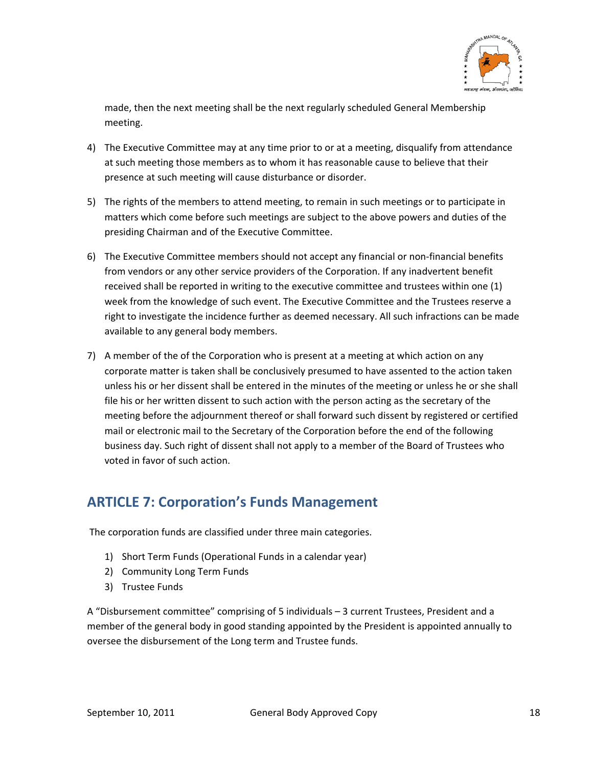

made, then the next meeting shall be the next regularly scheduled General Membership meeting.

- 4) The Executive Committee may at any time prior to or at a meeting, disqualify from attendance at such meeting those members as to whom it has reasonable cause to believe that their presence at such meeting will cause disturbance or disorder.
- 5) The rights of the members to attend meeting, to remain in such meetings or to participate in matters which come before such meetings are subject to the above powers and duties of the presiding Chairman and of the Executive Committee.
- 6) The Executive Committee members should not accept any financial or non‐financial benefits from vendors or any other service providers of the Corporation. If any inadvertent benefit received shall be reported in writing to the executive committee and trustees within one (1) week from the knowledge of such event. The Executive Committee and the Trustees reserve a right to investigate the incidence further as deemed necessary. All such infractions can be made available to any general body members.
- 7) A member of the of the Corporation who is present at a meeting at which action on any corporate matter is taken shall be conclusively presumed to have assented to the action taken unless his or her dissent shall be entered in the minutes of the meeting or unless he or she shall file his or her written dissent to such action with the person acting as the secretary of the meeting before the adjournment thereof or shall forward such dissent by registered or certified mail or electronic mail to the Secretary of the Corporation before the end of the following business day. Such right of dissent shall not apply to a member of the Board of Trustees who voted in favor of such action.

# **ARTICLE 7: Corporation's Funds Management**

The corporation funds are classified under three main categories.

- 1) Short Term Funds (Operational Funds in a calendar year)
- 2) Community Long Term Funds
- 3) Trustee Funds

A "Disbursement committee" comprising of 5 individuals – 3 current Trustees, President and a member of the general body in good standing appointed by the President is appointed annually to oversee the disbursement of the Long term and Trustee funds.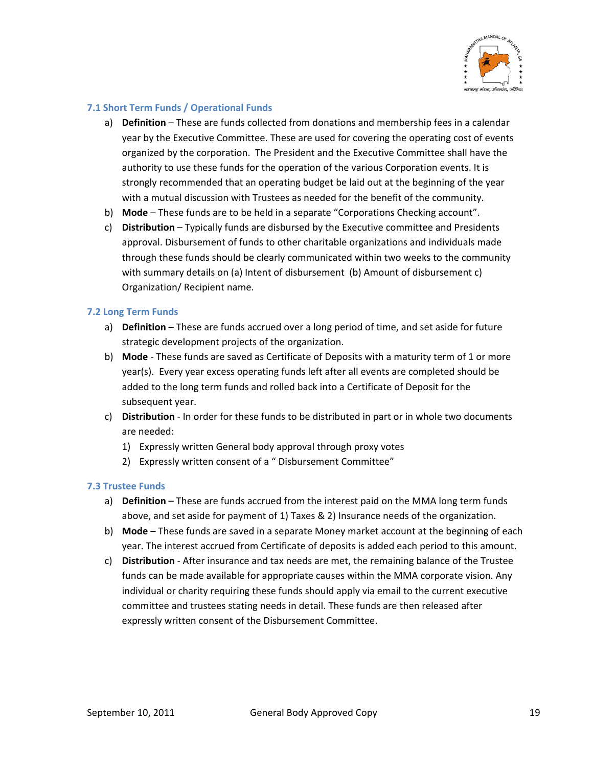

### **7.1 Short Term Funds / Operational Funds**

- a) **Definition** These are funds collected from donations and membership fees in a calendar year by the Executive Committee. These are used for covering the operating cost of events organized by the corporation. The President and the Executive Committee shall have the authority to use these funds for the operation of the various Corporation events. It is strongly recommended that an operating budget be laid out at the beginning of the year with a mutual discussion with Trustees as needed for the benefit of the community.
- b) **Mode** These funds are to be held in a separate "Corporations Checking account".
- c) **Distribution** Typically funds are disbursed by the Executive committee and Presidents approval. Disbursement of funds to other charitable organizations and individuals made through these funds should be clearly communicated within two weeks to the community with summary details on (a) Intent of disbursement (b) Amount of disbursement c) Organization/ Recipient name.

### **7.2 Long Term Funds**

- a) **Definition** These are funds accrued over a long period of time, and set aside for future strategic development projects of the organization.
- b) **Mode** ‐ These funds are saved as Certificate of Deposits with a maturity term of 1 or more year(s). Every year excess operating funds left after all events are completed should be added to the long term funds and rolled back into a Certificate of Deposit for the subsequent year.
- c) **Distribution** ‐ In order for these funds to be distributed in part or in whole two documents are needed:
	- 1) Expressly written General body approval through proxy votes
	- 2) Expressly written consent of a " Disbursement Committee"

### **7.3 Trustee Funds**

- a) **Definition** These are funds accrued from the interest paid on the MMA long term funds above, and set aside for payment of 1) Taxes & 2) Insurance needs of the organization.
- b) **Mode** These funds are saved in a separate Money market account at the beginning of each year. The interest accrued from Certificate of deposits is added each period to this amount.
- c) **Distribution** ‐ After insurance and tax needs are met, the remaining balance of the Trustee funds can be made available for appropriate causes within the MMA corporate vision. Any individual or charity requiring these funds should apply via email to the current executive committee and trustees stating needs in detail. These funds are then released after expressly written consent of the Disbursement Committee.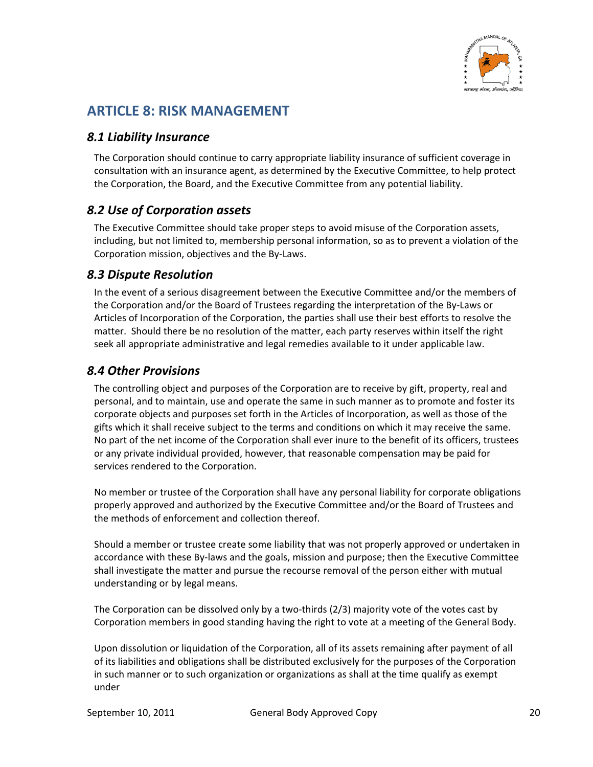

# **ARTICLE 8: RISK MANAGEMENT**

### *8.1 Liability Insurance*

The Corporation should continue to carry appropriate liability insurance of sufficient coverage in consultation with an insurance agent, as determined by the Executive Committee, to help protect the Corporation, the Board, and the Executive Committee from any potential liability.

### *8.2 Use of Corporation assets*

The Executive Committee should take proper steps to avoid misuse of the Corporation assets, including, but not limited to, membership personal information, so as to prevent a violation of the Corporation mission, objectives and the By‐Laws.

### *8.3 Dispute Resolution*

In the event of a serious disagreement between the Executive Committee and/or the members of the Corporation and/or the Board of Trustees regarding the interpretation of the By‐Laws or Articles of Incorporation of the Corporation, the parties shall use their best efforts to resolve the matter. Should there be no resolution of the matter, each party reserves within itself the right seek all appropriate administrative and legal remedies available to it under applicable law.

### *8.4 Other Provisions*

The controlling object and purposes of the Corporation are to receive by gift, property, real and personal, and to maintain, use and operate the same in such manner as to promote and foster its corporate objects and purposes set forth in the Articles of Incorporation, as well as those of the gifts which it shall receive subject to the terms and conditions on which it may receive the same. No part of the net income of the Corporation shall ever inure to the benefit of its officers, trustees or any private individual provided, however, that reasonable compensation may be paid for services rendered to the Corporation.

No member or trustee of the Corporation shall have any personal liability for corporate obligations properly approved and authorized by the Executive Committee and/or the Board of Trustees and the methods of enforcement and collection thereof.

Should a member or trustee create some liability that was not properly approved or undertaken in accordance with these By‐laws and the goals, mission and purpose; then the Executive Committee shall investigate the matter and pursue the recourse removal of the person either with mutual understanding or by legal means.

The Corporation can be dissolved only by a two‐thirds (2/3) majority vote of the votes cast by Corporation members in good standing having the right to vote at a meeting of the General Body.

Upon dissolution or liquidation of the Corporation, all of its assets remaining after payment of all of its liabilities and obligations shall be distributed exclusively for the purposes of the Corporation in such manner or to such organization or organizations as shall at the time qualify as exempt under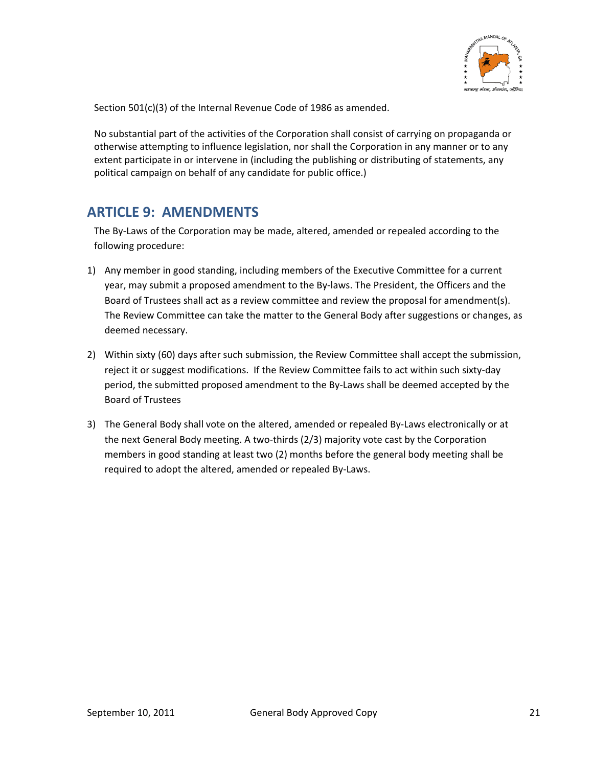

Section 501(c)(3) of the Internal Revenue Code of 1986 as amended.

No substantial part of the activities of the Corporation shall consist of carrying on propaganda or otherwise attempting to influence legislation, nor shall the Corporation in any manner or to any extent participate in or intervene in (including the publishing or distributing of statements, any political campaign on behalf of any candidate for public office.)

# **ARTICLE 9: AMENDMENTS**

The By‐Laws of the Corporation may be made, altered, amended or repealed according to the following procedure:

- 1) Any member in good standing, including members of the Executive Committee for a current year, may submit a proposed amendment to the By‐laws. The President, the Officers and the Board of Trustees shall act as a review committee and review the proposal for amendment(s). The Review Committee can take the matter to the General Body after suggestions or changes, as deemed necessary.
- 2) Within sixty (60) days after such submission, the Review Committee shall accept the submission, reject it or suggest modifications. If the Review Committee fails to act within such sixty-day period, the submitted proposed amendment to the By‐Laws shall be deemed accepted by the Board of Trustees
- 3) The General Body shall vote on the altered, amended or repealed By‐Laws electronically or at the next General Body meeting. A two‐thirds (2/3) majority vote cast by the Corporation members in good standing at least two (2) months before the general body meeting shall be required to adopt the altered, amended or repealed By‐Laws.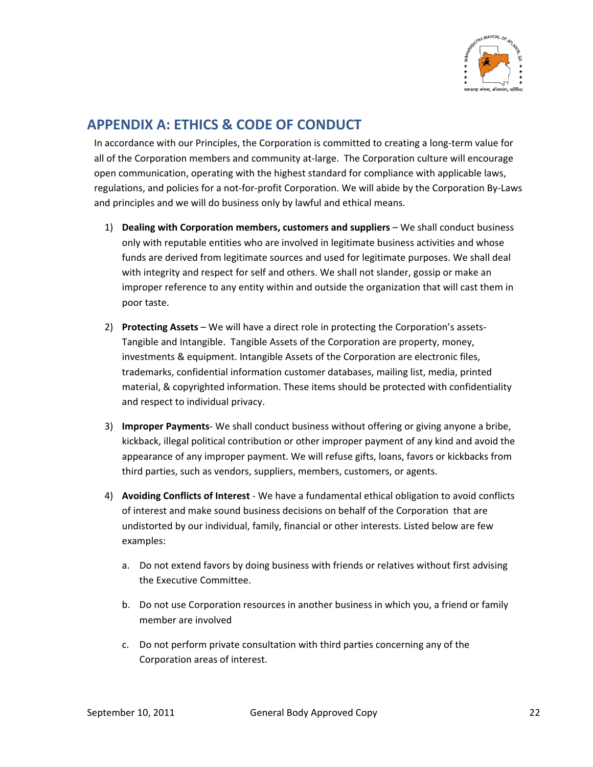

# **APPENDIX A: ETHICS & CODE OF CONDUCT**

In accordance with our Principles, the Corporation is committed to creating a long-term value for all of the Corporation members and community at-large. The Corporation culture will encourage open communication, operating with the highest standard for compliance with applicable laws, regulations, and policies for a not‐for‐profit Corporation. We will abide by the Corporation By‐Laws and principles and we will do business only by lawful and ethical means.

- 1) **Dealing with Corporation members, customers and suppliers** We shall conduct business only with reputable entities who are involved in legitimate business activities and whose funds are derived from legitimate sources and used for legitimate purposes. We shall deal with integrity and respect for self and others. We shall not slander, gossip or make an improper reference to any entity within and outside the organization that will cast them in poor taste.
- 2) **Protecting Assets** We will have a direct role in protecting the Corporation's assets‐ Tangible and Intangible. Tangible Assets of the Corporation are property, money, investments & equipment. Intangible Assets of the Corporation are electronic files, trademarks, confidential information customer databases, mailing list, media, printed material, & copyrighted information. These items should be protected with confidentiality and respect to individual privacy.
- 3) **Improper Payments**‐ We shall conduct business without offering or giving anyone a bribe, kickback, illegal political contribution or other improper payment of any kind and avoid the appearance of any improper payment. We will refuse gifts, loans, favors or kickbacks from third parties, such as vendors, suppliers, members, customers, or agents.
- 4) **Avoiding Conflicts of Interest** ‐ We have a fundamental ethical obligation to avoid conflicts of interest and make sound business decisions on behalf of the Corporation that are undistorted by our individual, family, financial or other interests. Listed below are few examples:
	- a. Do not extend favors by doing business with friends or relatives without first advising the Executive Committee.
	- b. Do not use Corporation resources in another business in which you, a friend or family member are involved
	- c. Do not perform private consultation with third parties concerning any of the Corporation areas of interest.